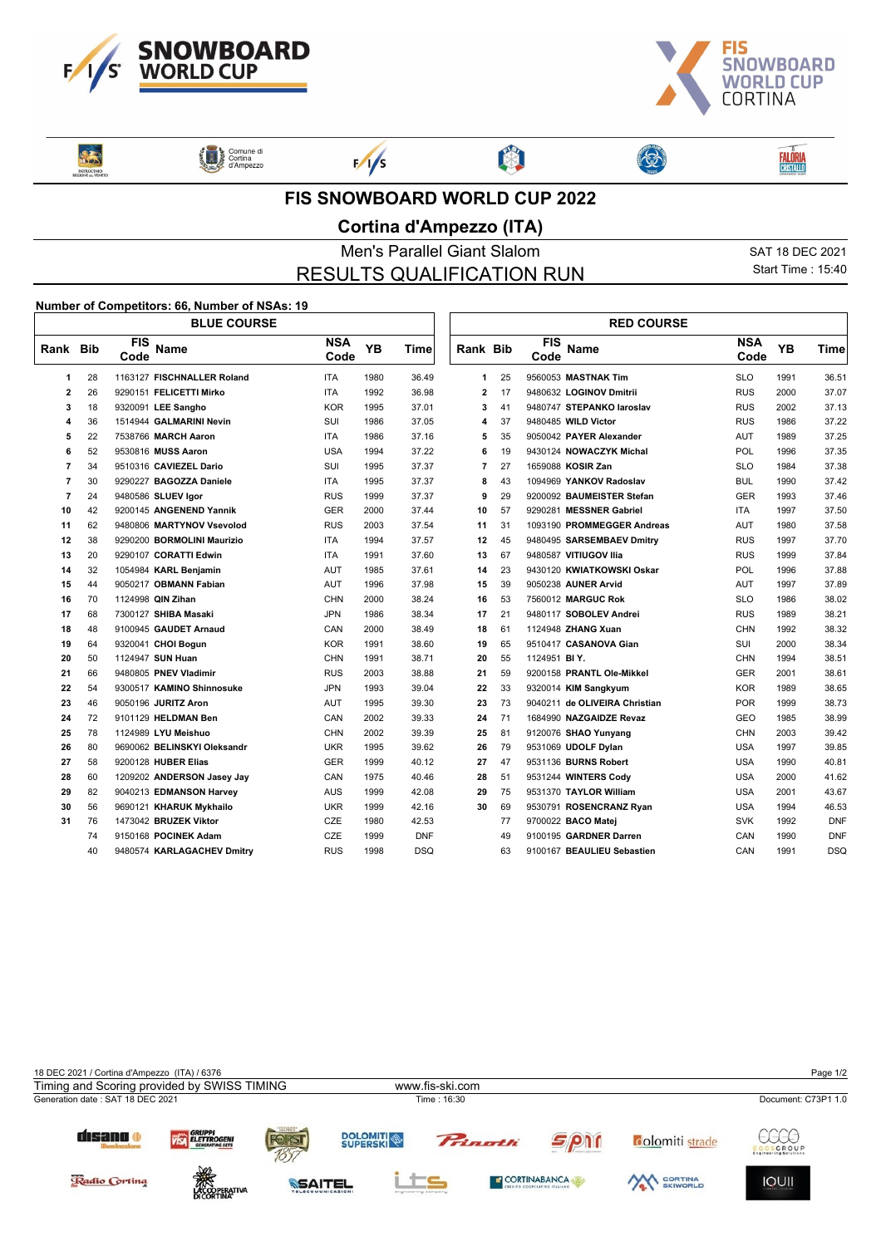



3

RES **ENTROCINIO**  Comune di<br>Cortina<br>d'Ampezzo



 $F/1/s$ 

图

## **FIS SNOWBOARD WORLD CUP 2022**

## **Cortina d'Ampezzo (ITA)**

Men's Parallel Giant Slalom SAT 18 DEC 2021 RESULTS QUALIFICATION RUN

> L  $\sqrt{ }$

Start Time : 15:40

**FALÔRIA**<br>CRISTALLO

## **Number of Competitors: 66, Number of NSAs: 19**

|                |    | <b>BLUE COURSE</b>                |                    |           |             |                         |    |                    | <b>RED COURSE</b>             |                    |      |             |
|----------------|----|-----------------------------------|--------------------|-----------|-------------|-------------------------|----|--------------------|-------------------------------|--------------------|------|-------------|
| Rank Bib       |    | <b>FIS</b><br><b>Name</b><br>Code | <b>NSA</b><br>Code | <b>YB</b> | <b>Time</b> | <b>Rank Bib</b>         |    | <b>FIS</b><br>Code | Name                          | <b>NSA</b><br>Code | YB   | <b>Time</b> |
| 1              | 28 | 1163127 FISCHNALLER Roland        | <b>ITA</b>         | 1980      | 36.49       | 1                       | 25 |                    | 9560053 MASTNAK Tim           | <b>SLO</b>         | 1991 | 36.51       |
| $\overline{2}$ | 26 | 9290151 FELICETTI Mirko           | <b>ITA</b>         | 1992      | 36.98       | $\overline{\mathbf{2}}$ | 17 |                    | 9480632 LOGINOV Dmitrii       | <b>RUS</b>         | 2000 | 37.07       |
| 3              | 18 | 9320091 LEE Sangho                | <b>KOR</b>         | 1995      | 37.01       | 3                       | 41 |                    | 9480747 STEPANKO laroslav     | <b>RUS</b>         | 2002 | 37.13       |
| 4              | 36 | 1514944 GALMARINI Nevin           | SUI                | 1986      | 37.05       | 4                       | 37 |                    | 9480485 WILD Victor           | <b>RUS</b>         | 1986 | 37.22       |
| 5              | 22 | 7538766 MARCH Aaron               | <b>ITA</b>         | 1986      | 37.16       | 5                       | 35 |                    | 9050042 PAYER Alexander       | <b>AUT</b>         | 1989 | 37.25       |
| 6              | 52 | 9530816 MUSS Aaron                | <b>USA</b>         | 1994      | 37.22       | 6                       | 19 |                    | 9430124 NOWACZYK Michal       | <b>POL</b>         | 1996 | 37.35       |
| $\overline{7}$ | 34 | 9510316 CAVIEZEL Dario            | SUI                | 1995      | 37.37       | $\overline{7}$          | 27 |                    | 1659088 KOSIR Zan             | <b>SLO</b>         | 1984 | 37.38       |
| $\overline{7}$ | 30 | 9290227 BAGOZZA Daniele           | <b>ITA</b>         | 1995      | 37.37       | 8                       | 43 |                    | 1094969 YANKOV Radoslav       | <b>BUL</b>         | 1990 | 37.42       |
| $\overline{7}$ | 24 | 9480586 SLUEV Igor                | <b>RUS</b>         | 1999      | 37.37       | 9                       | 29 |                    | 9200092 BAUMEISTER Stefan     | <b>GER</b>         | 1993 | 37.46       |
| 10             | 42 | 9200145 ANGENEND Yannik           | <b>GER</b>         | 2000      | 37.44       | 10                      | 57 |                    | 9290281 MESSNER Gabriel       | <b>ITA</b>         | 1997 | 37.50       |
| 11             | 62 | 9480806 MARTYNOV Vsevolod         | <b>RUS</b>         | 2003      | 37.54       | 11                      | 31 |                    | 1093190 PROMMEGGER Andreas    | <b>AUT</b>         | 1980 | 37.58       |
| 12             | 38 | 9290200 BORMOLINI Maurizio        | <b>ITA</b>         | 1994      | 37.57       | 12                      | 45 |                    | 9480495 SARSEMBAEV Dmitry     | <b>RUS</b>         | 1997 | 37.70       |
| 13             | 20 | 9290107 CORATTI Edwin             | <b>ITA</b>         | 1991      | 37.60       | 13                      | 67 |                    | 9480587 VITIUGOV Ilia         | <b>RUS</b>         | 1999 | 37.84       |
| 14             | 32 | 1054984 KARL Benjamin             | <b>AUT</b>         | 1985      | 37.61       | 14                      | 23 |                    | 9430120 KWIATKOWSKI Oskar     | <b>POL</b>         | 1996 | 37.88       |
| 15             | 44 | 9050217 OBMANN Fabian             | <b>AUT</b>         | 1996      | 37.98       | 15                      | 39 |                    | 9050238 AUNER Arvid           | <b>AUT</b>         | 1997 | 37.89       |
| 16             | 70 | 1124998 QIN Zihan                 | <b>CHN</b>         | 2000      | 38.24       | 16                      | 53 |                    | 7560012 MARGUC Rok            | <b>SLO</b>         | 1986 | 38.02       |
| 17             | 68 | 7300127 SHIBA Masaki              | <b>JPN</b>         | 1986      | 38.34       | 17                      | 21 |                    | 9480117 SOBOLEV Andrei        | <b>RUS</b>         | 1989 | 38.21       |
| 18             | 48 | 9100945 GAUDET Arnaud             | CAN                | 2000      | 38.49       | 18                      | 61 |                    | 1124948 ZHANG Xuan            | <b>CHN</b>         | 1992 | 38.32       |
| 19             | 64 | 9320041 CHOI Bogun                | <b>KOR</b>         | 1991      | 38.60       | 19                      | 65 |                    | 9510417 CASANOVA Gian         | SUI                | 2000 | 38.34       |
| 20             | 50 | 1124947 SUN Huan                  | <b>CHN</b>         | 1991      | 38.71       | 20                      | 55 | 1124951 BIY.       |                               | <b>CHN</b>         | 1994 | 38.51       |
| 21             | 66 | 9480805 PNEV Vladimir             | <b>RUS</b>         | 2003      | 38.88       | 21                      | 59 |                    | 9200158 PRANTL Ole-Mikkel     | <b>GER</b>         | 2001 | 38.61       |
| 22             | 54 | 9300517 KAMINO Shinnosuke         | <b>JPN</b>         | 1993      | 39.04       | 22                      | 33 |                    | 9320014 KIM Sangkyum          | <b>KOR</b>         | 1989 | 38.65       |
| 23             | 46 | 9050196 JURITZ Aron               | AUT                | 1995      | 39.30       | 23                      | 73 |                    | 9040211 de OLIVEIRA Christian | <b>POR</b>         | 1999 | 38.73       |
| 24             | 72 | 9101129 HELDMAN Ben               | CAN                | 2002      | 39.33       | 24                      | 71 |                    | 1684990 NAZGAIDZE Revaz       | <b>GEO</b>         | 1985 | 38.99       |
| 25             | 78 | 1124989 LYU Meishuo               | <b>CHN</b>         | 2002      | 39.39       | 25                      | 81 |                    | 9120076 SHAO Yunyang          | <b>CHN</b>         | 2003 | 39.42       |
| 26             | 80 | 9690062 BELINSKYI Oleksandr       | <b>UKR</b>         | 1995      | 39.62       | 26                      | 79 |                    | 9531069 UDOLF Dylan           | <b>USA</b>         | 1997 | 39.85       |
| 27             | 58 | 9200128 HUBER Elias               | <b>GER</b>         | 1999      | 40.12       | 27                      | 47 |                    | 9531136 BURNS Robert          | <b>USA</b>         | 1990 | 40.81       |
| 28             | 60 | 1209202 ANDERSON Jasey Jay        | CAN                | 1975      | 40.46       | 28                      | 51 |                    | 9531244 WINTERS Cody          | <b>USA</b>         | 2000 | 41.62       |
| 29             | 82 | 9040213 EDMANSON Harvey           | AUS                | 1999      | 42.08       | 29                      | 75 |                    | 9531370 TAYLOR William        | <b>USA</b>         | 2001 | 43.67       |
| 30             | 56 | 9690121 KHARUK Mykhailo           | <b>UKR</b>         | 1999      | 42.16       | 30                      | 69 |                    | 9530791 ROSENCRANZ Ryan       | <b>USA</b>         | 1994 | 46.53       |
| 31             | 76 | 1473042 BRUZEK Viktor             | CZE                | 1980      | 42.53       |                         | 77 |                    | 9700022 BACO Matej            | <b>SVK</b>         | 1992 | <b>DNF</b>  |
|                | 74 | 9150168 POCINEK Adam              | CZE                | 1999      | <b>DNF</b>  |                         | 49 |                    | 9100195 GARDNER Darren        | CAN                | 1990 | <b>DNF</b>  |
|                | 40 | 9480574 KARLAGACHEV Dmitry        | <b>RUS</b>         | 1998      | <b>DSQ</b>  |                         | 63 |                    | 9100167 BEAULIEU Sebastien    | CAN                | 1991 | <b>DSQ</b>  |